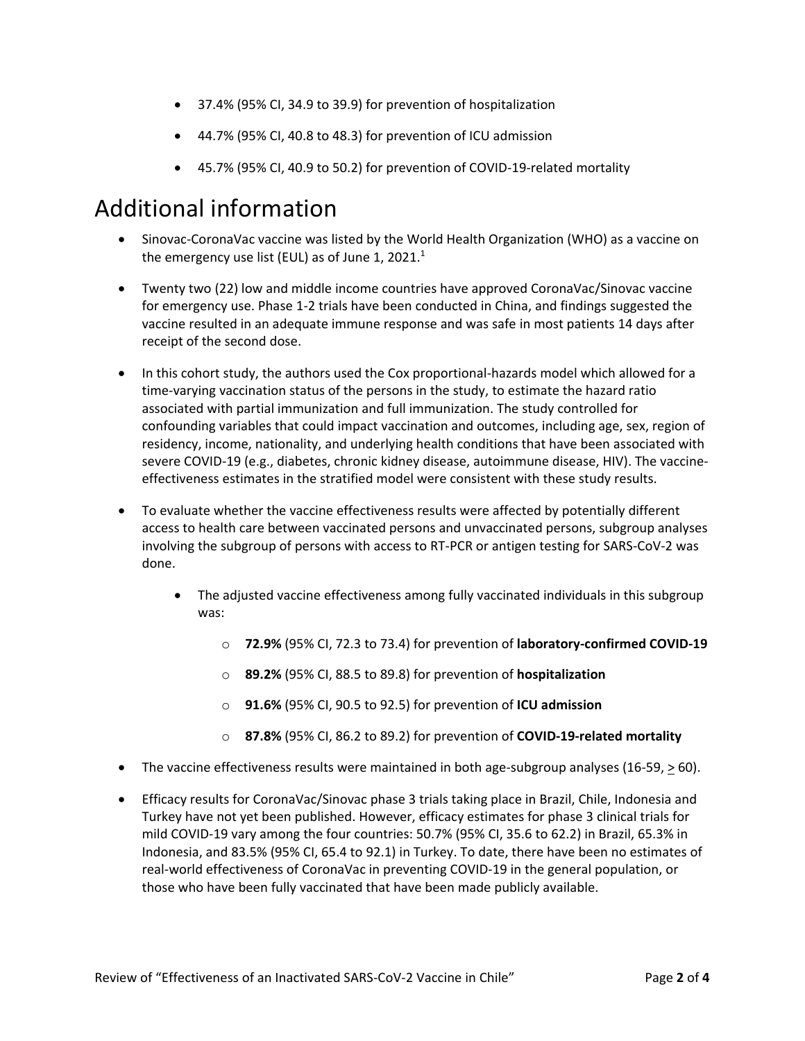- 37.4% (95% CI, 34.9 to 39.9) for prevention of hospitalization
- 44.7% (95% CI, 40.8 to 48.3) for prevention of ICU admission
- 45.7% (95% CI, 40.9 to 50.2) for prevention of COVID-19-related mortality

### Additional information

- Sinovac-CoronaVac vaccine was listed by the World Health Organization (WHO) as a vaccine on the emergency use list (EUL) as of June 1, 2021.<sup>1</sup>
- Twenty two (22) low and middle income countries have approved CoronaVac/Sinovac vaccine for emergency use. Phase 1-2 trials have been conducted in China, and findings suggested the vaccine resulted in an adequate immune response and was safe in most patients 14 days after receipt of the second dose.
- In this cohort study, the authors used the Cox proportional-hazards model which allowed for a time-varying vaccination status of the persons in the study, to estimate the hazard ratio associated with partial immunization and full immunization. The study controlled for confounding variables that could impact vaccination and outcomes, including age, sex, region of residency, income, nationality, and underlying health conditions that have been associated with severe COVID-19 (e.g., diabetes, chronic kidney disease, autoimmune disease, HIV). The vaccineeffectiveness estimates in the stratified model were consistent with these study results.
- To evaluate whether the vaccine effectiveness results were affected by potentially different access to health care between vaccinated persons and unvaccinated persons, subgroup analyses involving the subgroup of persons with access to RT-PCR or antigen testing for SARS-CoV-2 was done.
	- The adjusted vaccine effectiveness among fully vaccinated individuals in this subgroup was:
		- o **72.9%** (95% CI, 72.3 to 73.4) for prevention of **laboratory-confirmed COVID-19**
		- o **89.2%** (95% CI, 88.5 to 89.8) for prevention of **hospitalization**
		- o **91.6%** (95% CI, 90.5 to 92.5) for prevention of **ICU admission**
		- o **87.8%** (95% CI, 86.2 to 89.2) for prevention of **COVID-19-related mortality**
- The vaccine effectiveness results were maintained in both age-subgroup analyses (16-59, > 60).
- Efficacy results for CoronaVac/Sinovac phase 3 trials taking place in Brazil, Chile, Indonesia and Turkey have not yet been published. However, efficacy estimates for phase 3 clinical trials for mild COVID-19 vary among the four countries: 50.7% (95% CI, 35.6 to 62.2) in Brazil, 65.3% in Indonesia, and 83.5% (95% CI, 65.4 to 92.1) in Turkey. To date, there have been no estimates of real-world effectiveness of CoronaVac in preventing COVID-19 in the general population, or those who have been fully vaccinated that have been made publicly available.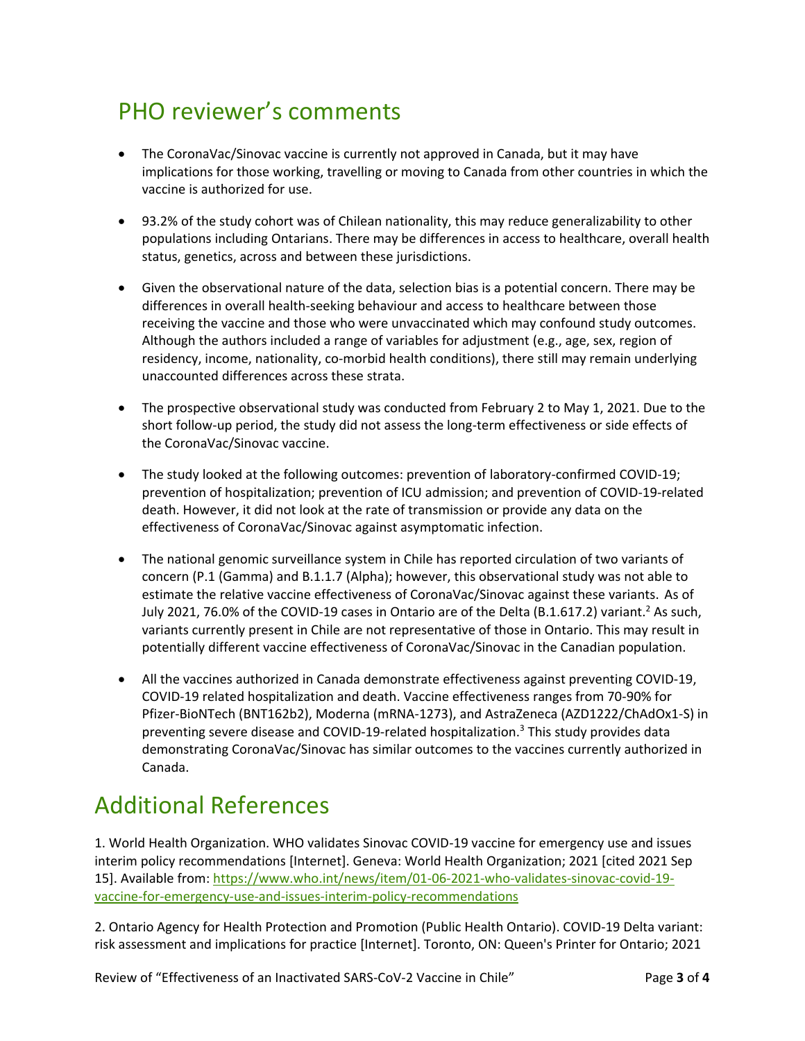# PHO reviewer's comments

- The CoronaVac/Sinovac vaccine is currently not approved in Canada, but it may have implications for those working, travelling or moving to Canada from other countries in which the vaccine is authorized for use.
- 93.2% of the study cohort was of Chilean nationality, this may reduce generalizability to other populations including Ontarians. There may be differences in access to healthcare, overall health status, genetics, across and between these jurisdictions.
- Given the observational nature of the data, selection bias is a potential concern. There may be differences in overall health-seeking behaviour and access to healthcare between those receiving the vaccine and those who were unvaccinated which may confound study outcomes. Although the authors included a range of variables for adjustment (e.g., age, sex, region of residency, income, nationality, co-morbid health conditions), there still may remain underlying unaccounted differences across these strata.
- The prospective observational study was conducted from February 2 to May 1, 2021. Due to the short follow-up period, the study did not assess the long-term effectiveness or side effects of the CoronaVac/Sinovac vaccine.
- The study looked at the following outcomes: prevention of laboratory-confirmed COVID-19; prevention of hospitalization; prevention of ICU admission; and prevention of COVID-19-related death. However, it did not look at the rate of transmission or provide any data on the effectiveness of CoronaVac/Sinovac against asymptomatic infection.
- The national genomic surveillance system in Chile has reported circulation of two variants of concern (P.1 (Gamma) and B.1.1.7 (Alpha); however, this observational study was not able to estimate the relative vaccine effectiveness of CoronaVac/Sinovac against these variants. As of July 2021, 76.0% of the COVID-19 cases in Ontario are of the Delta (B.1.617.2) variant.<sup>2</sup> As such, variants currently present in Chile are not representative of those in Ontario. This may result in potentially different vaccine effectiveness of CoronaVac/Sinovac in the Canadian population.
- All the vaccines authorized in Canada demonstrate effectiveness against preventing COVID-19, COVID-19 related hospitalization and death. Vaccine effectiveness ranges from 70-90% for Pfizer-BioNTech (BNT162b2), Moderna (mRNA-1273), and AstraZeneca (AZD1222/ChAdOx1-S) in preventing severe disease and COVID-19-related hospitalization.<sup>3</sup> This study provides data demonstrating CoronaVac/Sinovac has similar outcomes to the vaccines currently authorized in Canada.

### Additional References

1. World Health Organization. WHO validates Sinovac COVID-19 vaccine for emergency use and issues interim policy recommendations [Internet]. Geneva: World Health Organization; 2021 [cited 2021 Sep 15]. Available from: [https://www.who.int/news/item/01-06-2021-who-validates-sinovac-covid-19](https://www.who.int/news/item/01-06-2021-who-validates-sinovac-covid-19-vaccine-for-emergency-use-and-issues-interim-policy-recommendations) [vaccine-for-emergency-use-and-issues-interim-policy-recommendations](https://www.who.int/news/item/01-06-2021-who-validates-sinovac-covid-19-vaccine-for-emergency-use-and-issues-interim-policy-recommendations)

2. Ontario Agency for Health Protection and Promotion (Public Health Ontario). COVID-19 Delta variant: risk assessment and implications for practice [Internet]. Toronto, ON: Queen's Printer for Ontario; 2021